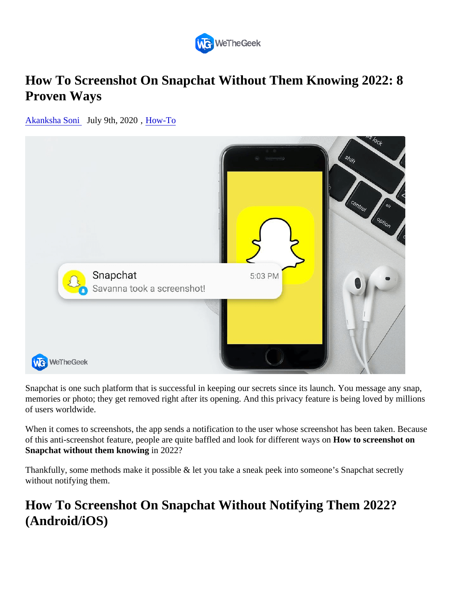# How To Screenshot On Snapchat Without Them Knowing 2022: 8 Proven Ways

[Akanksha Son](https://wethegeek.com/author/akanksha/)i July 9th, 2020, [How-To](https://wethegeek.com/category/how-to)

Snapchat is one such platform that is successful in keeping our secrets since its launch. You message any sra memories or photo; they get removed right after its opening. And this privacy feature is being loved by million of users worldwide.

When it comes to screenshots, the app sends a notification to the user whose screenshot has been taken. Be of this anti-screenshot feature, people are quite baffled and look for different way wo screenshot on Snapchat without them knowingin 2022?

Thankfully, some methods make it possible & let you take a sneak peek into someone's Snapchat secretly without notifying them.

## How To Screenshot On Snapchat Without Notifying Them 2022? (Android/iOS)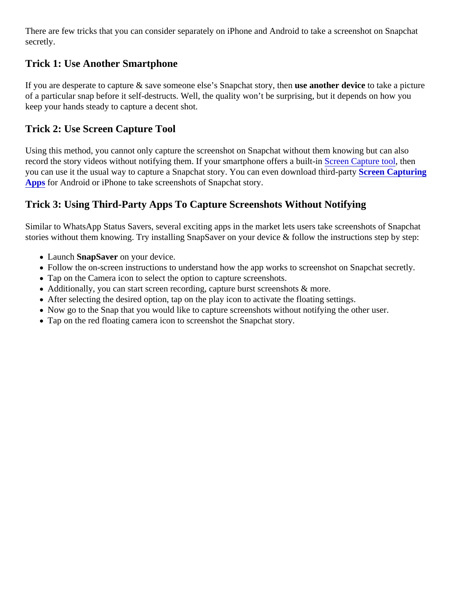There are few tricks that you can consider separately on iPhone and Android to take a screenshot on Snapch secretly.

## Trick 1: Use Another Smartphone

If you are desperate to capture & save someone else's Snapchat stor petine use device take a picture of a particular snap before it self-destructs. Well, the quality won't be surprising, but it depends on how you keep your hands steady to capture a decent shot.

### Trick 2: Use Screen Capture Tool

Using this method, you cannot only capture the screenshot on Snapchat without them knowing but can also record the story videos without notifying them. If your smartphone offers a builtreen Capture tod then you can use it the usual way to capture a Snapchat story. You can even download th**&drearty Capturing** [Apps](https://wethegeek.com/best-screen-recorder-apps-for-android/) for Android or iPhone to take screenshots of Snapchat story.

### Trick 3: Using Third-Party Apps To Capture Screenshots Without Notifying

Similar to WhatsApp Status Savers, several exciting apps in the market lets users take screenshots of Snapc stories without them knowing. Try installing SnapSaver on your device & follow the instructions step by step:

- Launch Snap Saveron your device.
- Follow the on-screen instructions to understand how the app works to screenshot on Snapchat secretly.
- Tap on the Camera icon to select the option to capture screenshots.
- Additionally, you can start screen recording, capture burst screenshots & more.
- After selecting the desired option, tap on the play icon to activate the floating settings.
- Now go to the Snap that you would like to capture screenshots without notifying the other user.
- Tap on the red floating camera icon to screenshot the Snapchat story.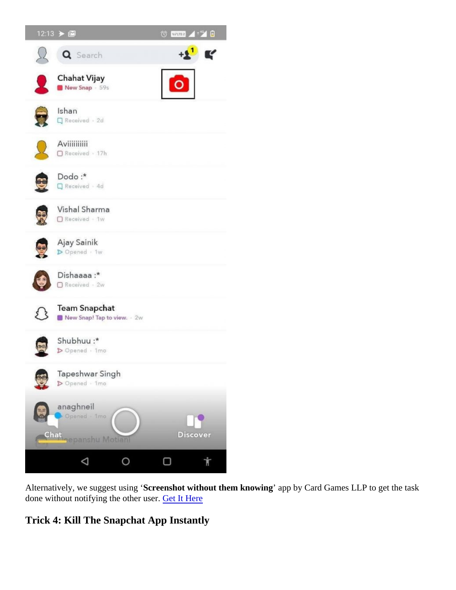Alternatively, we suggest usin§creenshot without them knowingapp by Card Games LLP to get the task done without notifying the other useret It Here

Trick 4: Kill The Snapchat App Instantly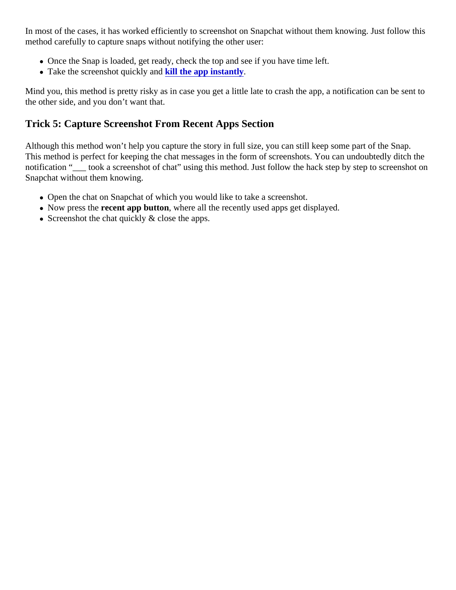In most of the cases, it has worked efficiently to screenshot on Snapchat without them knowing. Just follow th method carefully to capture snaps without notifying the other user:

- Once the Snap is loaded, get ready, check the top and see if you have time left.
- Take the screenshot quickly and the app instantly.

Mind you, this method is pretty risky as in case you get a little late to crash the app, a notification can be sent the other side, and you don't want that.

## Trick 5: Capture Screenshot From Recent Apps Section

Although this method won't help you capture the story in full size, you can still keep some part of the Snap. This method is perfect for keeping the chat messages in the form of screenshots. You can undoubtedly ditch notification "\_\_\_ took a screenshot of chat" using this method. Just follow the hack step by step to screenshot Snapchat without them knowing.

- Open the chat on Snapchat of which you would like to take a screenshot.
- Now press the ecent app button, where all the recently used apps get displayed.
- Screenshot the chat quickly & close the apps.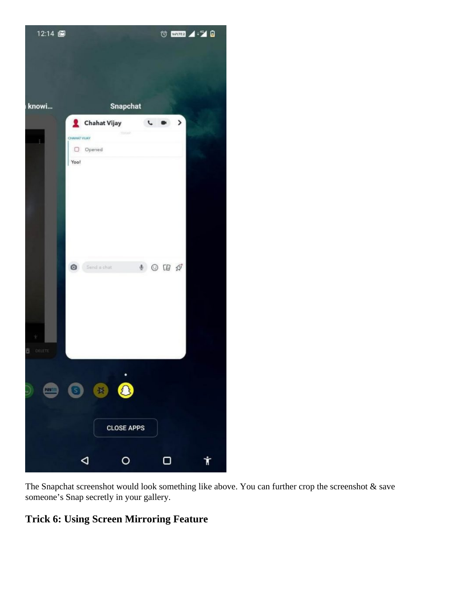

The Snapchat screenshot would look something like above. You can further crop the screenshot & save someone's Snap secretly in your gallery.

## **Trick 6: Using Screen Mirroring Feature**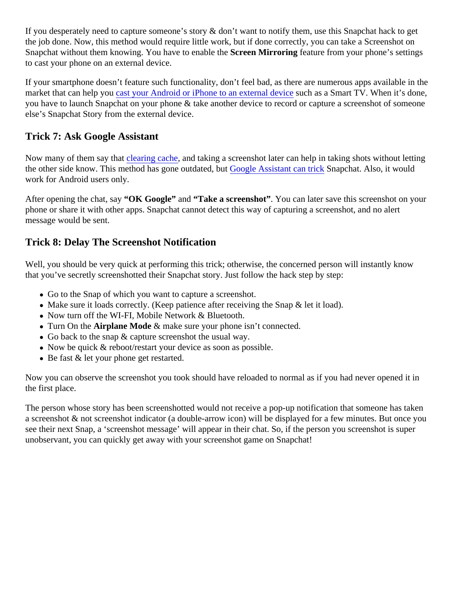If you desperately need to capture someone's story & don't want to notify them, use this Snapchat hack to get the job done. Now, this method would require little work, but if done correctly, you can take a Screenshot on Snapchat without them knowing. You have to enablestreen Mirroring feature from your phone's settings to cast your phone on an external device.

If your smartphone doesn't feature such functionality, don't feel bad, as there are numerous apps available in market that can help youn android or iPhone to an external deside as a Smart TV. When it's done, you have to launch Snapchat on your phone & take another device to record or capture a screenshot of some else's Snapchat Story from the external device.

#### Trick 7: Ask Google Assistant

Now many of them say thatearing cache and taking a screenshot later can help in taking shots without letting theother side know. This method has gone outdated but de Assistant can trick napchat. Also, it would work for Android users only.

After opening the chat, sä OK Google" and "Take a screenshot". You can later save this screenshot on your phone or share it with other apps. Snapchat cannot detect this way of capturing a screenshot, and no alert message would be sent.

#### Trick 8: Delay The Screenshot Notification

Well, you should be very quick at performing this trick; otherwise, the concerned person will instantly know that you've secretly screenshotted their Snapchat story. Just follow the hack step by step:

- Go to the Snap of which you want to capture a screenshot.
- Make sure it loads correctly. (Keep patience after receiving the Snap & let it load).
- Now turn off the WI-FI, Mobile Network & Bluetooth.
- Turn On the Airplane Mode & make sure your phone isn't connected.
- Go back to the snap & capture screenshot the usual way.
- Now be quick & reboot/restart your device as soon as possible.
- Be fast & let your phone get restarted.

Now you can observe the screenshot you took should have reloaded to normal as if you had never opened it the first place.

The person whose story has been screenshotted would not receive a pop-up notification that someone has ta a screenshot & not screenshot indicator (a double-arrow icon) will be displayed for a few minutes. But once you see their next Snap, a 'screenshot message' will appear in their chat. So, if the person you screenshot is supe unobservant, you can quickly get away with your screenshot game on Snapchat!